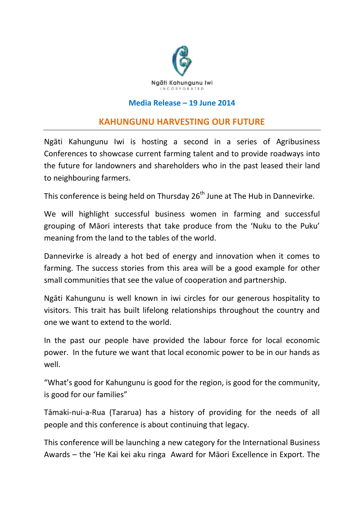

## **Media Release – 19 June 2014**

## **KAHUNGUNU HARVESTING OUR FUTURE**

Ngāti Kahungunu Iwi is hosting a second in a series of Agribusiness Conferences to showcase current farming talent and to provide roadways into the future for landowners and shareholders who in the past leased their land to neighbouring farmers.

This conference is being held on Thursday  $26<sup>th</sup>$  June at The Hub in Dannevirke.

We will highlight successful business women in farming and successful grouping of Māori interests that take produce from the 'Nuku to the Puku' meaning from the land to the tables of the world.

Dannevirke is already a hot bed of energy and innovation when it comes to farming. The success stories from this area will be a good example for other small communities that see the value of cooperation and partnership.

Ngāti Kahungunu is well known in iwi circles for our generous hospitality to visitors. This trait has built lifelong relationships throughout the country and one we want to extend to the world.

In the past our people have provided the labour force for local economic power. In the future we want that local economic power to be in our hands as well.

"What's good for Kahungunu is good for the region, is good for the community, is good for our families"

Tāmaki-nui-a-Rua (Tararua) has a history of providing for the needs of all people and this conference is about continuing that legacy.

This conference will be launching a new category for the International Business Awards – the 'He Kai kei aku ringa Award for Māori Excellence in Export. The